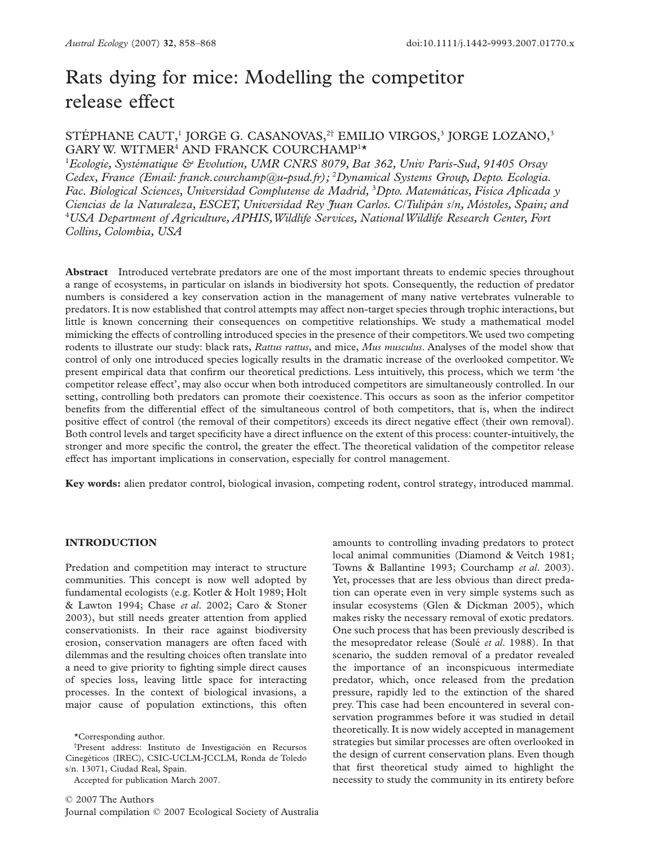# Rats dying for mice: Modelling the competitor release effect

# STÉPHANE CAUT,<sup>1</sup> JORGE G. CASANOVAS,<sup>2†</sup> EMILIO VIRGOS,<sup>3</sup> JORGE LOZANO,<sup>3</sup> GARY W. WITMER<sup>4</sup> AND FRANCK COURCHAMP<sup>1\*</sup>

1 *Ecologie, Systématique & Evolution, UMR CNRS 8079, Bat 362, Univ Paris-Sud, 91405 Orsay Cedex, France (Email: franck.[courchamp@u-psud.fr](mailto:courchamp@u-psud.fr));* <sup>2</sup> *Dynamical Systems Group, Depto. Ecologia. Fac. Biological Sciences, Universidad Complutense de Madrid,* <sup>3</sup> *Dpto. Matemáticas, Física Aplicada y Ciencias de la Naturaleza, ESCET, Universidad Rey Juan Carlos. C/Tulipán s/n, Móstoles, Spain; and* 4 *USA Department of Agriculture, APHIS,Wildlife Services, NationalWildlife Research Center, Fort Collins, Colombia, USA*

**Abstract** Introduced vertebrate predators are one of the most important threats to endemic species throughout a range of ecosystems, in particular on islands in biodiversity hot spots. Consequently, the reduction of predator numbers is considered a key conservation action in the management of many native vertebrates vulnerable to predators. It is now established that control attempts may affect non-target species through trophic interactions, but little is known concerning their consequences on competitive relationships. We study a mathematical model mimicking the effects of controlling introduced species in the presence of their competitors.We used two competing rodents to illustrate our study: black rats, *Rattus rattus*, and mice, *Mus musculus*. Analyses of the model show that control of only one introduced species logically results in the dramatic increase of the overlooked competitor. We present empirical data that confirm our theoretical predictions. Less intuitively, this process, which we term 'the competitor release effect', may also occur when both introduced competitors are simultaneously controlled. In our setting, controlling both predators can promote their coexistence. This occurs as soon as the inferior competitor benefits from the differential effect of the simultaneous control of both competitors, that is, when the indirect positive effect of control (the removal of their competitors) exceeds its direct negative effect (their own removal). Both control levels and target specificity have a direct influence on the extent of this process: counter-intuitively, the stronger and more specific the control, the greater the effect. The theoretical validation of the competitor release effect has important implications in conservation, especially for control management.

**Key words:** alien predator control, biological invasion, competing rodent, control strategy, introduced mammal.

### **INTRODUCTION**

Predation and competition may interact to structure communities. This concept is now well adopted by fundamental ecologists (e.g. Kotler & Holt 1989; Holt & Lawton 1994; Chase *et al*. 2002; Caro & Stoner 2003), but still needs greater attention from applied conservationists. In their race against biodiversity erosion, conservation managers are often faced with dilemmas and the resulting choices often translate into a need to give priority to fighting simple direct causes of species loss, leaving little space for interacting processes. In the context of biological invasions, a major cause of population extinctions, this often

\*Corresponding author.

† Present address: Instituto de Investigación en Recursos Cinegéticos (IREC), CSIC-UCLM-JCCLM, Ronda de Toledo s/n. 13071, Ciudad Real, Spain.

Accepted for publication March 2007.

amounts to controlling invading predators to protect local animal communities (Diamond & Veitch 1981; Towns & Ballantine 1993; Courchamp *et al*. 2003). Yet, processes that are less obvious than direct predation can operate even in very simple systems such as insular ecosystems (Glen & Dickman 2005), which makes risky the necessary removal of exotic predators. One such process that has been previously described is the mesopredator release (Soulé *et al*. 1988). In that scenario, the sudden removal of a predator revealed the importance of an inconspicuous intermediate predator, which, once released from the predation pressure, rapidly led to the extinction of the shared prey. This case had been encountered in several conservation programmes before it was studied in detail theoretically. It is now widely accepted in management strategies but similar processes are often overlooked in the design of current conservation plans. Even though that first theoretical study aimed to highlight the necessity to study the community in its entirety before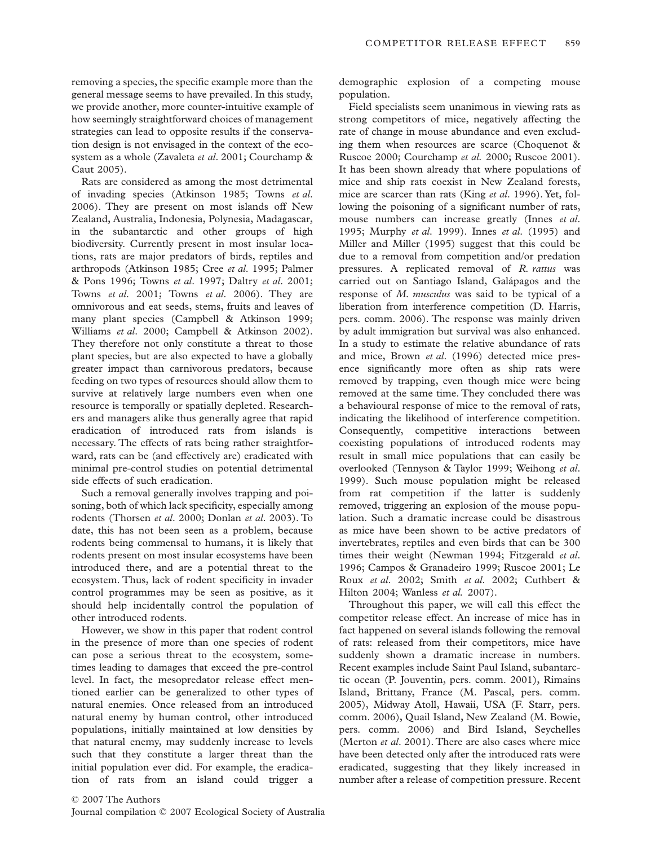removing a species, the specific example more than the general message seems to have prevailed. In this study, we provide another, more counter-intuitive example of how seemingly straightforward choices of management strategies can lead to opposite results if the conservation design is not envisaged in the context of the ecosystem as a whole (Zavaleta *et al*. 2001; Courchamp & Caut 2005).

Rats are considered as among the most detrimental of invading species (Atkinson 1985; Towns *et al*. 2006). They are present on most islands off New Zealand, Australia, Indonesia, Polynesia, Madagascar, in the subantarctic and other groups of high biodiversity. Currently present in most insular locations, rats are major predators of birds, reptiles and arthropods (Atkinson 1985; Cree *et al*. 1995; Palmer & Pons 1996; Towns *et al*. 1997; Daltry *et al*. 2001; Towns *et al*. 2001; Towns *et al*. 2006). They are omnivorous and eat seeds, stems, fruits and leaves of many plant species (Campbell & Atkinson 1999; Williams *et al*. 2000; Campbell & Atkinson 2002). They therefore not only constitute a threat to those plant species, but are also expected to have a globally greater impact than carnivorous predators, because feeding on two types of resources should allow them to survive at relatively large numbers even when one resource is temporally or spatially depleted. Researchers and managers alike thus generally agree that rapid eradication of introduced rats from islands is necessary. The effects of rats being rather straightforward, rats can be (and effectively are) eradicated with minimal pre-control studies on potential detrimental side effects of such eradication.

Such a removal generally involves trapping and poisoning, both of which lack specificity, especially among rodents (Thorsen *et al*. 2000; Donlan *et al*. 2003). To date, this has not been seen as a problem, because rodents being commensal to humans, it is likely that rodents present on most insular ecosystems have been introduced there, and are a potential threat to the ecosystem. Thus, lack of rodent specificity in invader control programmes may be seen as positive, as it should help incidentally control the population of other introduced rodents.

However, we show in this paper that rodent control in the presence of more than one species of rodent can pose a serious threat to the ecosystem, sometimes leading to damages that exceed the pre-control level. In fact, the mesopredator release effect mentioned earlier can be generalized to other types of natural enemies. Once released from an introduced natural enemy by human control, other introduced populations, initially maintained at low densities by that natural enemy, may suddenly increase to levels such that they constitute a larger threat than the initial population ever did. For example, the eradication of rats from an island could trigger a

demographic explosion of a competing mouse population.

Field specialists seem unanimous in viewing rats as strong competitors of mice, negatively affecting the rate of change in mouse abundance and even excluding them when resources are scarce (Choquenot & Ruscoe 2000; Courchamp *et al.* 2000; Ruscoe 2001). It has been shown already that where populations of mice and ship rats coexist in New Zealand forests, mice are scarcer than rats (King *et al*. 1996). Yet, following the poisoning of a significant number of rats, mouse numbers can increase greatly (Innes *et al*. 1995; Murphy *et al*. 1999). Innes *et al*. (1995) and Miller and Miller (1995) suggest that this could be due to a removal from competition and/or predation pressures. A replicated removal of *R. rattus* was carried out on Santiago Island, Galápagos and the response of *M. musculus* was said to be typical of a liberation from interference competition (D. Harris, pers. comm. 2006). The response was mainly driven by adult immigration but survival was also enhanced. In a study to estimate the relative abundance of rats and mice, Brown *et al*. (1996) detected mice presence significantly more often as ship rats were removed by trapping, even though mice were being removed at the same time. They concluded there was a behavioural response of mice to the removal of rats, indicating the likelihood of interference competition. Consequently, competitive interactions between coexisting populations of introduced rodents may result in small mice populations that can easily be overlooked (Tennyson & Taylor 1999; Weihong *et al*. 1999). Such mouse population might be released from rat competition if the latter is suddenly removed, triggering an explosion of the mouse population. Such a dramatic increase could be disastrous as mice have been shown to be active predators of invertebrates, reptiles and even birds that can be 300 times their weight (Newman 1994; Fitzgerald *et al*. 1996; Campos & Granadeiro 1999; Ruscoe 2001; Le Roux *et al*. 2002; Smith *et al*. 2002; Cuthbert & Hilton 2004; Wanless *et al.* 2007).

Throughout this paper, we will call this effect the competitor release effect. An increase of mice has in fact happened on several islands following the removal of rats: released from their competitors, mice have suddenly shown a dramatic increase in numbers. Recent examples include Saint Paul Island, subantarctic ocean (P. Jouventin, pers. comm. 2001), Rimains Island, Brittany, France (M. Pascal, pers. comm. 2005), Midway Atoll, Hawaii, USA (F. Starr, pers. comm. 2006), Quail Island, New Zealand (M. Bowie, pers. comm. 2006) and Bird Island, Seychelles (Merton *et al*. 2001). There are also cases where mice have been detected only after the introduced rats were eradicated, suggesting that they likely increased in number after a release of competition pressure. Recent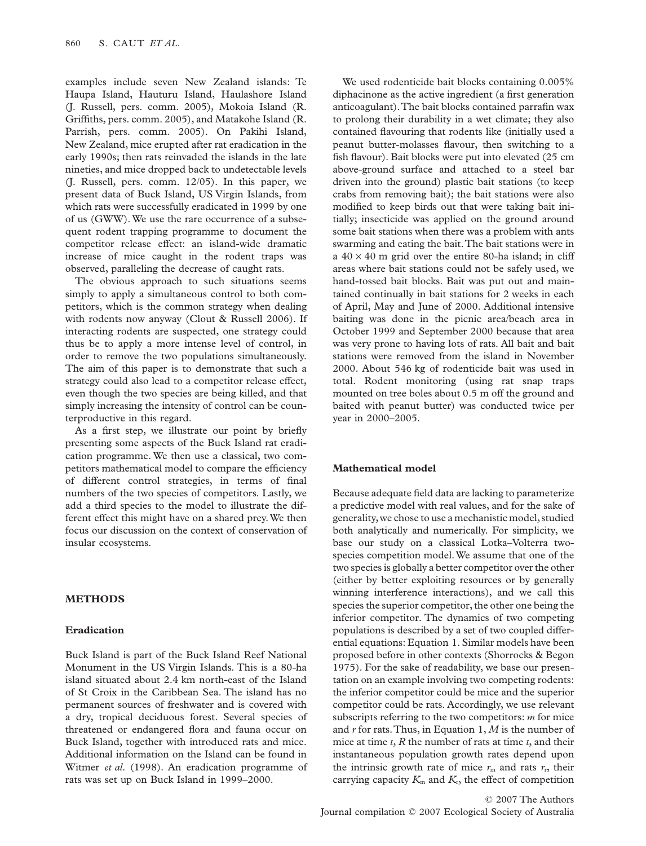examples include seven New Zealand islands: Te Haupa Island, Hauturu Island, Haulashore Island (J. Russell, pers. comm. 2005), Mokoia Island (R. Griffiths, pers. comm. 2005), and Matakohe Island (R. Parrish, pers. comm. 2005). On Pakihi Island, New Zealand, mice erupted after rat eradication in the early 1990s; then rats reinvaded the islands in the late nineties, and mice dropped back to undetectable levels (J. Russell, pers. comm. 12/05). In this paper, we present data of Buck Island, US Virgin Islands, from which rats were successfully eradicated in 1999 by one of us (GWW). We use the rare occurrence of a subsequent rodent trapping programme to document the competitor release effect: an island-wide dramatic increase of mice caught in the rodent traps was observed, paralleling the decrease of caught rats.

The obvious approach to such situations seems simply to apply a simultaneous control to both competitors, which is the common strategy when dealing with rodents now anyway (Clout & Russell 2006). If interacting rodents are suspected, one strategy could thus be to apply a more intense level of control, in order to remove the two populations simultaneously. The aim of this paper is to demonstrate that such a strategy could also lead to a competitor release effect, even though the two species are being killed, and that simply increasing the intensity of control can be counterproductive in this regard.

As a first step, we illustrate our point by briefly presenting some aspects of the Buck Island rat eradication programme. We then use a classical, two competitors mathematical model to compare the efficiency of different control strategies, in terms of final numbers of the two species of competitors. Lastly, we add a third species to the model to illustrate the different effect this might have on a shared prey.We then focus our discussion on the context of conservation of insular ecosystems.

## **METHODS**

#### **Eradication**

Buck Island is part of the Buck Island Reef National Monument in the US Virgin Islands. This is a 80-ha island situated about 2.4 km north-east of the Island of St Croix in the Caribbean Sea. The island has no permanent sources of freshwater and is covered with a dry, tropical deciduous forest. Several species of threatened or endangered flora and fauna occur on Buck Island, together with introduced rats and mice. Additional information on the Island can be found in Witmer *et al*. (1998). An eradication programme of rats was set up on Buck Island in 1999–2000.

We used rodenticide bait blocks containing  $0.005\%$ diphacinone as the active ingredient (a first generation anticoagulant).The bait blocks contained parrafin wax to prolong their durability in a wet climate; they also contained flavouring that rodents like (initially used a peanut butter-molasses flavour, then switching to a fish flavour). Bait blocks were put into elevated (25 cm above-ground surface and attached to a steel bar driven into the ground) plastic bait stations (to keep crabs from removing bait); the bait stations were also modified to keep birds out that were taking bait initially; insecticide was applied on the ground around some bait stations when there was a problem with ants swarming and eating the bait.The bait stations were in a  $40 \times 40$  m grid over the entire 80-ha island; in cliff areas where bait stations could not be safely used, we hand-tossed bait blocks. Bait was put out and maintained continually in bait stations for 2 weeks in each of April, May and June of 2000. Additional intensive baiting was done in the picnic area/beach area in October 1999 and September 2000 because that area was very prone to having lots of rats. All bait and bait stations were removed from the island in November 2000. About 546 kg of rodenticide bait was used in total. Rodent monitoring (using rat snap traps mounted on tree boles about 0.5 m off the ground and baited with peanut butter) was conducted twice per year in 2000–2005.

#### **Mathematical model**

Because adequate field data are lacking to parameterize a predictive model with real values, and for the sake of generality, we chose to use a mechanistic model, studied both analytically and numerically. For simplicity, we base our study on a classical Lotka–Volterra twospecies competition model.We assume that one of the two species is globally a better competitor over the other (either by better exploiting resources or by generally winning interference interactions), and we call this species the superior competitor, the other one being the inferior competitor. The dynamics of two competing populations is described by a set of two coupled differential equations: Equation 1. Similar models have been proposed before in other contexts (Shorrocks & Begon 1975). For the sake of readability, we base our presentation on an example involving two competing rodents: the inferior competitor could be mice and the superior competitor could be rats. Accordingly, we use relevant subscripts referring to the two competitors: *m* for mice and *r* for rats.Thus, in Equation 1, *M* is the number of mice at time *t*, *R* the number of rats at time *t*, and their instantaneous population growth rates depend upon the intrinsic growth rate of mice  $r_m$  and rats  $r_r$ , their carrying capacity  $K<sub>m</sub>$  and  $K<sub>r</sub>$ , the effect of competition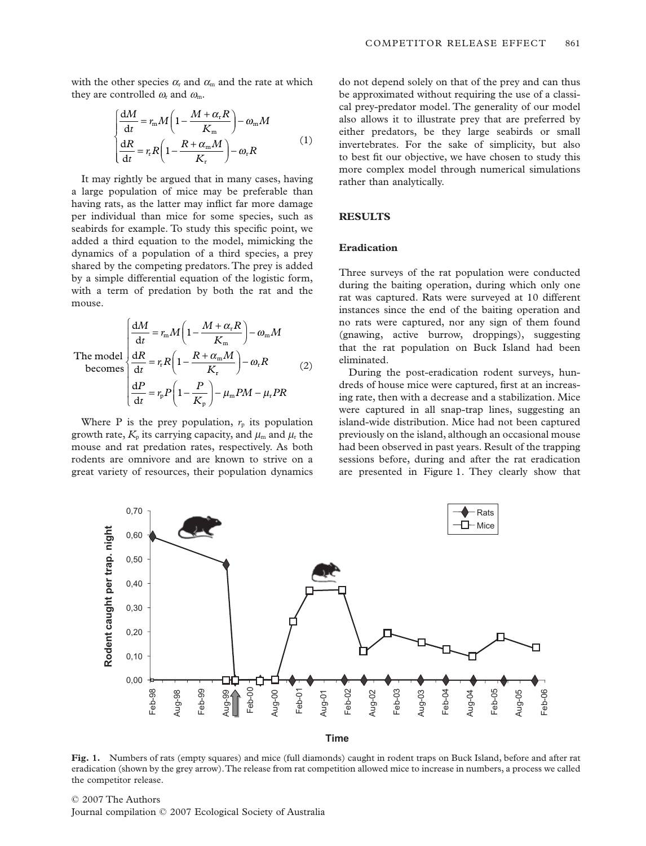with the other species  $\alpha_r$  and  $\alpha_m$  and the rate at which they are controlled  $\omega_r$  and  $\omega_m$ .

$$
\begin{cases}\n\frac{dM}{dt} = r_{\rm m} M \left( 1 - \frac{M + \alpha_{\rm r} R}{K_{\rm m}} \right) - \omega_{\rm m} M \\
\frac{dR}{dt} = r_{\rm r} R \left( 1 - \frac{R + \alpha_{\rm m} M}{K_{\rm r}} \right) - \omega_{\rm r} R\n\end{cases}
$$
\n(1)

It may rightly be argued that in many cases, having a large population of mice may be preferable than having rats, as the latter may inflict far more damage per individual than mice for some species, such as seabirds for example. To study this specific point, we added a third equation to the model, mimicking the dynamics of a population of a third species, a prey shared by the competing predators. The prey is added by a simple differential equation of the logistic form, with a term of predation by both the rat and the mouse.

$$
\text{The model} \begin{cases} \frac{dM}{dt} = r_{\text{m}} M \left( 1 - \frac{M + \alpha_{\text{r}} R}{K_{\text{m}}} \right) - \omega_{\text{m}} M\\ \frac{dR}{dt} = r_{\text{r}} R \left( 1 - \frac{R + \alpha_{\text{m}} M}{K_{\text{r}}} \right) - \omega_{\text{r}} R\\ \frac{dP}{dt} = r_{\text{p}} P \left( 1 - \frac{P}{K_{\text{p}}} \right) - \mu_{\text{m}} P M - \mu_{\text{r}} P R \end{cases} \tag{2}
$$

Where P is the prey population,  $r_p$  its population growth rate,  $K_p$  its carrying capacity, and  $\mu_m$  and  $\mu_r$  the mouse and rat predation rates, respectively. As both rodents are omnivore and are known to strive on a great variety of resources, their population dynamics

do not depend solely on that of the prey and can thus be approximated without requiring the use of a classical prey-predator model. The generality of our model also allows it to illustrate prey that are preferred by either predators, be they large seabirds or small invertebrates. For the sake of simplicity, but also to best fit our objective, we have chosen to study this more complex model through numerical simulations rather than analytically.

#### **RESULTS**

#### **Eradication**

Three surveys of the rat population were conducted during the baiting operation, during which only one rat was captured. Rats were surveyed at 10 different instances since the end of the baiting operation and no rats were captured, nor any sign of them found (gnawing, active burrow, droppings), suggesting that the rat population on Buck Island had been eliminated.

During the post-eradication rodent surveys, hundreds of house mice were captured, first at an increasing rate, then with a decrease and a stabilization. Mice were captured in all snap-trap lines, suggesting an island-wide distribution. Mice had not been captured previously on the island, although an occasional mouse had been observed in past years. Result of the trapping sessions before, during and after the rat eradication are presented in Figure 1. They clearly show that



**Fig. 1.** Numbers of rats (empty squares) and mice (full diamonds) caught in rodent traps on Buck Island, before and after rat eradication (shown by the grey arrow).The release from rat competition allowed mice to increase in numbers, a process we called the competitor release.

#### © 2007 The Authors

Journal compilation © 2007 Ecological Society of Australia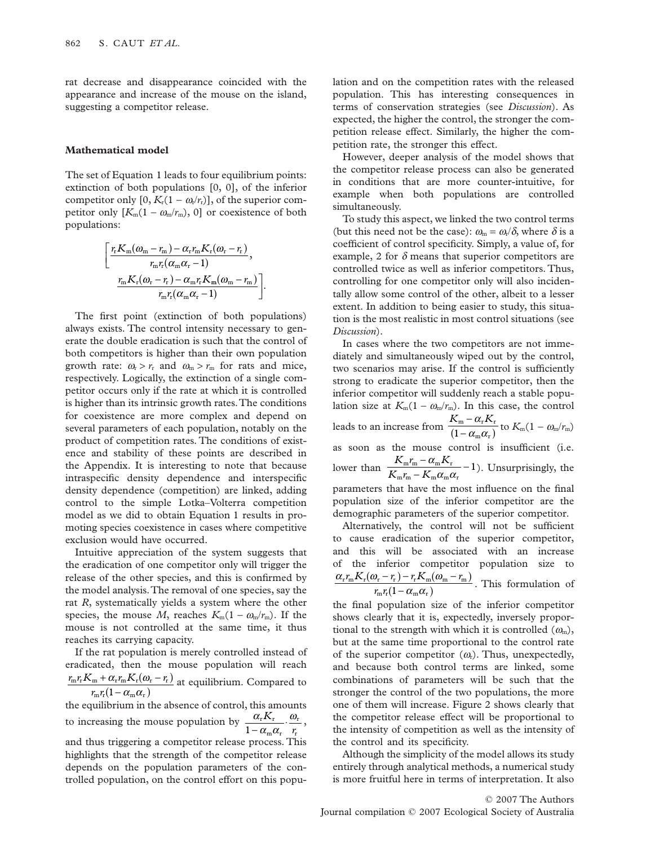rat decrease and disappearance coincided with the appearance and increase of the mouse on the island, suggesting a competitor release.

#### **Mathematical model**

The set of Equation 1 leads to four equilibrium points: extinction of both populations [0, 0], of the inferior competitor only  $[0, K_r(1 - \omega_r/r_r)]$ , of the superior competitor only  $[K_m(1 - \omega_m/r_m), 0]$  or coexistence of both populations:

$$
\left[\frac{r_r K_m(\omega_m - r_m) - \alpha_r r_m K_r(\omega_r - r_r)}{r_m r_r(\alpha_m \alpha_r - 1)}, \frac{r_m K_r(\omega_r - r_r) - \alpha_m r_r K_m(\omega_m - r_m)}{r_m r_r(\alpha_m \alpha_r - 1)}\right].
$$

The first point (extinction of both populations) always exists. The control intensity necessary to generate the double eradication is such that the control of both competitors is higher than their own population growth rate:  $\omega_r > r_r$  and  $\omega_m > r_m$  for rats and mice, respectively. Logically, the extinction of a single competitor occurs only if the rate at which it is controlled is higher than its intrinsic growth rates.The conditions for coexistence are more complex and depend on several parameters of each population, notably on the product of competition rates. The conditions of existence and stability of these points are described in the Appendix. It is interesting to note that because intraspecific density dependence and interspecific density dependence (competition) are linked, adding control to the simple Lotka–Volterra competition model as we did to obtain Equation 1 results in promoting species coexistence in cases where competitive exclusion would have occurred.

Intuitive appreciation of the system suggests that the eradication of one competitor only will trigger the release of the other species, and this is confirmed by the model analysis.The removal of one species, say the rat *R*, systematically yields a system where the other species, the mouse *M*, reaches  $K_m(1 - \omega_m/r_m)$ . If the mouse is not controlled at the same time, it thus reaches its carrying capacity.

If the rat population is merely controlled instead of eradicated, then the mouse population will reach  $r_m r_r K_m + \alpha_r r_m K_r(\omega_r - r_r)$  at equilibrium. Compared to  $r_{\rm m} r_{\rm r} (1 - \alpha_{\rm m} \alpha_{\rm r})$ the equilibrium in the absence of control, this amounts *K*

to increasing the mouse population by  $\frac{\alpha_r K_r}{1 - \alpha_m \alpha_r}$  $r_{\rm r} K_{\rm r}$   $\omega$  $_{\rm m}\omega_{\rm r}$ r r  $\frac{\omega_r \Delta_r}{1 - \alpha_m \alpha_r} \cdot \frac{\omega_r}{r_r}$ , and thus triggering a competitor release process. This highlights that the strength of the competitor release

depends on the population parameters of the controlled population, on the control effort on this population and on the competition rates with the released population. This has interesting consequences in terms of conservation strategies (see *Discussion*). As expected, the higher the control, the stronger the competition release effect. Similarly, the higher the competition rate, the stronger this effect.

However, deeper analysis of the model shows that the competitor release process can also be generated in conditions that are more counter-intuitive, for example when both populations are controlled simultaneously.

To study this aspect, we linked the two control terms (but this need not be the case):  $\omega_m = \omega / \delta$ , where  $\delta$  is a coefficient of control specificity. Simply, a value of, for example, 2 for  $\delta$  means that superior competitors are controlled twice as well as inferior competitors. Thus, controlling for one competitor only will also incidentally allow some control of the other, albeit to a lesser extent. In addition to being easier to study, this situation is the most realistic in most control situations (see *Discussion*).

In cases where the two competitors are not immediately and simultaneously wiped out by the control, two scenarios may arise. If the control is sufficiently strong to eradicate the superior competitor, then the inferior competitor will suddenly reach a stable population size at  $K_m(1 - \omega_m/r_m)$ . In this case, the control leads to an increase from  $\frac{K_{\rm m} - \alpha_{\rm r} K_{\rm r}}{(1 - \alpha_{\rm r} \alpha_{\rm r})}$  $m\alpha_{\rm r}$ −  $(1 - \alpha_{\rm m}\alpha_{\rm r})$ α  $\frac{m}{(1-\alpha_m\alpha_r)}$  to  $K_m(1-\omega_m/r_m)$ as soon as the mouse control is insufficient (i.e. lower than  $\frac{K_m r_m - \alpha_m K}{K_m}$  $K_{\rm m} r_{\rm m} - K$  $m_{\rm m} - \alpha_{\rm m}$  $N_{\rm r}$  $_{\rm m}$  $\mu_{\rm m}$  $\mu_{\rm m}$  $\mu_{\rm m}$  $\frac{(-\alpha_{\rm m} K_{\rm r})}{-K_{\rm m} \alpha_{\rm m} \alpha_{\rm r}}$  – 1). Unsurprisingly, the parameters that have the most influence on the final population size of the inferior competitor are the demographic parameters of the superior competitor. Alternatively, the control will not be sufficient to cause eradication of the superior competitor,

and this will be associated with an increase of the inferior competitor population size to  $\alpha_r r_m K_r(\omega_r - r_r) - r_r K_m(\omega_r)$  $\alpha_{\rm m}\alpha$  $r r_{\rm m}$  $\mathbf{R}_{\rm r}$  ( $\omega_{\rm r}$  –  $r_{\rm r}$ ) –  $r_{\rm r}$  $\mathbf{R}_{\rm m}$  ( $\omega_{\rm m}$  –  $r_{\rm m}$  $\mu_{\rm m} r_{\rm r} (1 - \mu_{\rm m} \mu_{\rm r})$  $r_{\rm m}K_{\rm r}(\omega_{\rm r}-r_{\rm r})-r_{\rm r}K_{\rm m}(\omega_{\rm m}-r_{\rm r})$  $r_{\rm m}r$  $\frac{(\omega_{\rm r}-r_{\rm r})-r_{\rm r}K_{\rm m}(\omega_{\rm m}-r_{\rm m})}{r_{\rm m}r_{\rm r}(1-\alpha_{\rm m}\alpha_{\rm r})}$ . This formulation of

the final population size of the inferior competitor shows clearly that it is, expectedly, inversely proportional to the strength with which it is controlled  $(\omega_m)$ , but at the same time proportional to the control rate of the superior competitor  $(\omega_r)$ . Thus, unexpectedly, and because both control terms are linked, some combinations of parameters will be such that the stronger the control of the two populations, the more one of them will increase. Figure 2 shows clearly that the competitor release effect will be proportional to the intensity of competition as well as the intensity of the control and its specificity.

Although the simplicity of the model allows its study entirely through analytical methods, a numerical study is more fruitful here in terms of interpretation. It also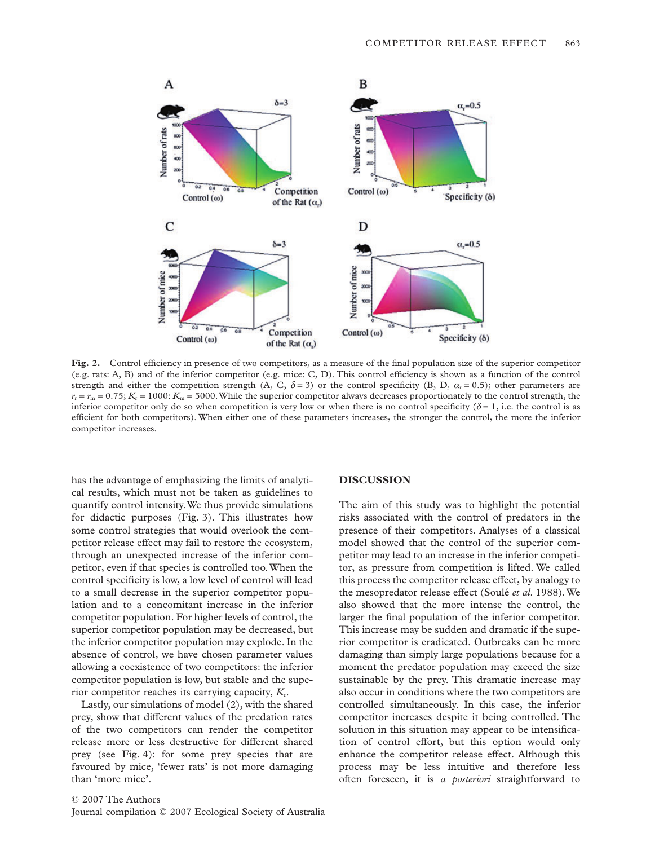

**Fig. 2.** Control efficiency in presence of two competitors, as a measure of the final population size of the superior competitor (e.g. rats: A, B) and of the inferior competitor (e.g. mice: C, D). This control efficiency is shown as a function of the control strength and either the competition strength (A, C,  $\delta$  = 3) or the control specificity (B, D,  $\alpha$ <sub>r</sub> = 0.5); other parameters are  $r_r = r_m = 0.75$ ;  $K_r = 1000$ :  $K_m = 5000$ . While the superior competitor always decreases proportionately to the control strength, the inferior competitor only do so when competition is very low or when there is no control specificity ( $\delta$  = 1, i.e. the control is as efficient for both competitors). When either one of these parameters increases, the stronger the control, the more the inferior competitor increases.

has the advantage of emphasizing the limits of analytical results, which must not be taken as guidelines to quantify control intensity.We thus provide simulations for didactic purposes (Fig. 3). This illustrates how some control strategies that would overlook the competitor release effect may fail to restore the ecosystem, through an unexpected increase of the inferior competitor, even if that species is controlled too.When the control specificity is low, a low level of control will lead to a small decrease in the superior competitor population and to a concomitant increase in the inferior competitor population. For higher levels of control, the superior competitor population may be decreased, but the inferior competitor population may explode. In the absence of control, we have chosen parameter values allowing a coexistence of two competitors: the inferior competitor population is low, but stable and the superior competitor reaches its carrying capacity, *K*r.

Lastly, our simulations of model (2), with the shared prey, show that different values of the predation rates of the two competitors can render the competitor release more or less destructive for different shared prey (see Fig. 4): for some prey species that are favoured by mice, 'fewer rats' is not more damaging than 'more mice'.

# **DISCUSSION**

The aim of this study was to highlight the potential risks associated with the control of predators in the presence of their competitors. Analyses of a classical model showed that the control of the superior competitor may lead to an increase in the inferior competitor, as pressure from competition is lifted. We called this process the competitor release effect, by analogy to the mesopredator release effect (Soulé *et al*. 1988).We also showed that the more intense the control, the larger the final population of the inferior competitor. This increase may be sudden and dramatic if the superior competitor is eradicated. Outbreaks can be more damaging than simply large populations because for a moment the predator population may exceed the size sustainable by the prey. This dramatic increase may also occur in conditions where the two competitors are controlled simultaneously. In this case, the inferior competitor increases despite it being controlled. The solution in this situation may appear to be intensification of control effort, but this option would only enhance the competitor release effect. Although this process may be less intuitive and therefore less often foreseen, it is *a posteriori* straightforward to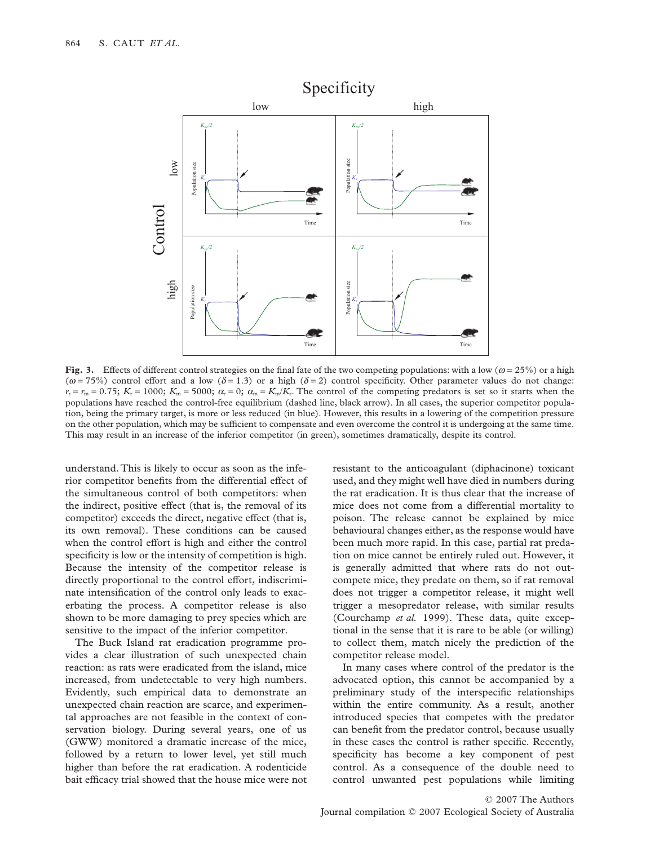

**Fig. 3.** Effects of different control strategies on the final fate of the two competing populations: with a low ( $\omega = 25\%$ ) or a high ( $\omega$  = 75%) control effort and a low ( $\delta$  = 1.3) or a high ( $\delta$  = 2) control specificity. Other parameter values do not change:  $r_r = r_m = 0.75$ ;  $K_r = 1000$ ;  $K_m = 5000$ ;  $\alpha_r = 0$ ;  $\alpha_m = K_m/K_r$ . The control of the competing predators is set so it starts when the populations have reached the control-free equilibrium (dashed line, black arrow). In all cases, the superior competitor population, being the primary target, is more or less reduced (in blue). However, this results in a lowering of the competition pressure on the other population, which may be sufficient to compensate and even overcome the control it is undergoing at the same time. This may result in an increase of the inferior competitor (in green), sometimes dramatically, despite its control.

understand. This is likely to occur as soon as the inferior competitor benefits from the differential effect of the simultaneous control of both competitors: when the indirect, positive effect (that is, the removal of its competitor) exceeds the direct, negative effect (that is, its own removal). These conditions can be caused when the control effort is high and either the control specificity is low or the intensity of competition is high. Because the intensity of the competitor release is directly proportional to the control effort, indiscriminate intensification of the control only leads to exacerbating the process. A competitor release is also shown to be more damaging to prey species which are sensitive to the impact of the inferior competitor.

The Buck Island rat eradication programme provides a clear illustration of such unexpected chain reaction: as rats were eradicated from the island, mice increased, from undetectable to very high numbers. Evidently, such empirical data to demonstrate an unexpected chain reaction are scarce, and experimental approaches are not feasible in the context of conservation biology. During several years, one of us (GWW) monitored a dramatic increase of the mice, followed by a return to lower level, yet still much higher than before the rat eradication. A rodenticide bait efficacy trial showed that the house mice were not

resistant to the anticoagulant (diphacinone) toxicant used, and they might well have died in numbers during the rat eradication. It is thus clear that the increase of mice does not come from a differential mortality to poison. The release cannot be explained by mice behavioural changes either, as the response would have been much more rapid. In this case, partial rat predation on mice cannot be entirely ruled out. However, it is generally admitted that where rats do not outcompete mice, they predate on them, so if rat removal does not trigger a competitor release, it might well trigger a mesopredator release, with similar results (Courchamp *et al.* 1999). These data, quite exceptional in the sense that it is rare to be able (or willing) to collect them, match nicely the prediction of the competitor release model.

In many cases where control of the predator is the advocated option, this cannot be accompanied by a preliminary study of the interspecific relationships within the entire community. As a result, another introduced species that competes with the predator can benefit from the predator control, because usually in these cases the control is rather specific. Recently, specificity has become a key component of pest control. As a consequence of the double need to control unwanted pest populations while limiting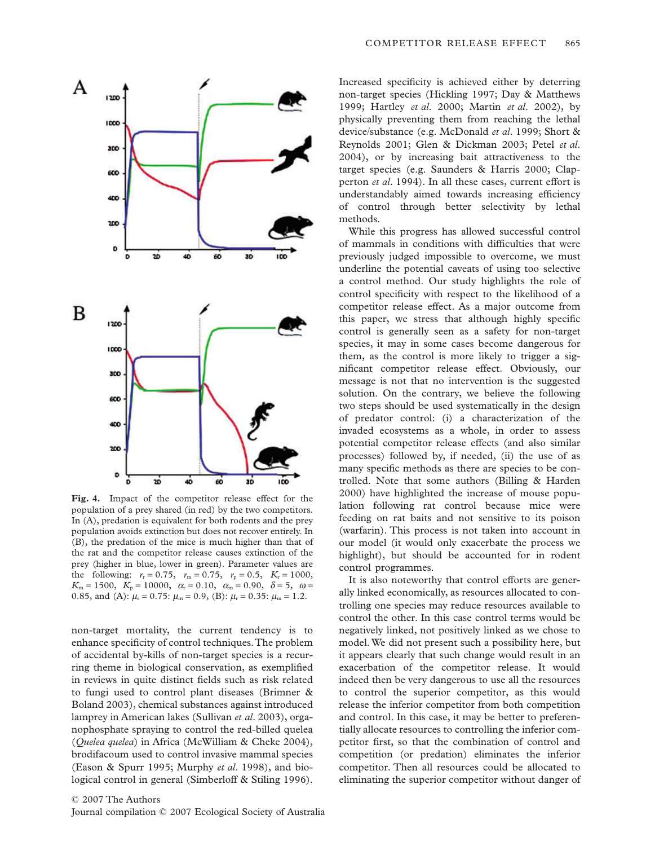

Fig. 4. Impact of the competitor release effect for the population of a prey shared (in red) by the two competitors. In (A), predation is equivalent for both rodents and the prey population avoids extinction but does not recover entirely. In (B), the predation of the mice is much higher than that of the rat and the competitor release causes extinction of the prey (higher in blue, lower in green). Parameter values are the following:  $r_r = 0.75$ ,  $r_m = 0.75$ ,  $r_p = 0.5$ ,  $K_r = 1000$ ,  $K_m = 1500$ ,  $K_p = 10000$ ,  $\alpha_r = 0.10$ ,  $\alpha_m = 0.90$ ,  $\delta = 5$ ,  $\omega =$ 0.85, and (A):  $\mu_r = 0.75$ :  $\mu_m = 0.9$ , (B):  $\mu_r = 0.35$ :  $\mu_m = 1.2$ .

non-target mortality, the current tendency is to enhance specificity of control techniques.The problem of accidental by-kills of non-target species is a recurring theme in biological conservation, as exemplified in reviews in quite distinct fields such as risk related to fungi used to control plant diseases (Brimner & Boland 2003), chemical substances against introduced lamprey in American lakes (Sullivan *et al*. 2003), organophosphate spraying to control the red-billed quelea (*Quelea quelea*) in Africa (McWilliam & Cheke 2004), brodifacoum used to control invasive mammal species (Eason & Spurr 1995; Murphy *et al*. 1998), and biological control in general (Simberloff & Stiling 1996). Increased specificity is achieved either by deterring non-target species (Hickling 1997; Day & Matthews 1999; Hartley *et al*. 2000; Martin *et al*. 2002), by physically preventing them from reaching the lethal device/substance (e.g. McDonald *et al*. 1999; Short & Reynolds 2001; Glen & Dickman 2003; Petel *et al*. 2004), or by increasing bait attractiveness to the target species (e.g. Saunders & Harris 2000; Clapperton *et al*. 1994). In all these cases, current effort is understandably aimed towards increasing efficiency of control through better selectivity by lethal methods.

While this progress has allowed successful control of mammals in conditions with difficulties that were previously judged impossible to overcome, we must underline the potential caveats of using too selective a control method. Our study highlights the role of control specificity with respect to the likelihood of a competitor release effect. As a major outcome from this paper, we stress that although highly specific control is generally seen as a safety for non-target species, it may in some cases become dangerous for them, as the control is more likely to trigger a significant competitor release effect. Obviously, our message is not that no intervention is the suggested solution. On the contrary, we believe the following two steps should be used systematically in the design of predator control: (i) a characterization of the invaded ecosystems as a whole, in order to assess potential competitor release effects (and also similar processes) followed by, if needed, (ii) the use of as many specific methods as there are species to be controlled. Note that some authors (Billing & Harden 2000) have highlighted the increase of mouse population following rat control because mice were feeding on rat baits and not sensitive to its poison (warfarin). This process is not taken into account in our model (it would only exacerbate the process we highlight), but should be accounted for in rodent control programmes.

It is also noteworthy that control efforts are generally linked economically, as resources allocated to controlling one species may reduce resources available to control the other. In this case control terms would be negatively linked, not positively linked as we chose to model. We did not present such a possibility here, but it appears clearly that such change would result in an exacerbation of the competitor release. It would indeed then be very dangerous to use all the resources to control the superior competitor, as this would release the inferior competitor from both competition and control. In this case, it may be better to preferentially allocate resources to controlling the inferior competitor first, so that the combination of control and competition (or predation) eliminates the inferior competitor. Then all resources could be allocated to eliminating the superior competitor without danger of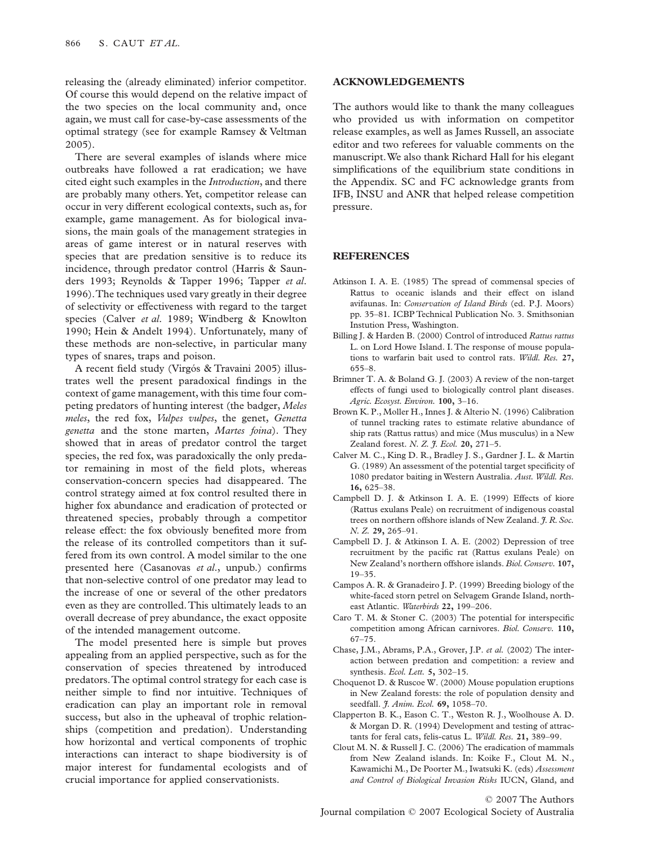releasing the (already eliminated) inferior competitor. Of course this would depend on the relative impact of the two species on the local community and, once again, we must call for case-by-case assessments of the optimal strategy (see for example Ramsey & Veltman 2005).

There are several examples of islands where mice outbreaks have followed a rat eradication; we have cited eight such examples in the *Introduction*, and there are probably many others.Yet, competitor release can occur in very different ecological contexts, such as, for example, game management. As for biological invasions, the main goals of the management strategies in areas of game interest or in natural reserves with species that are predation sensitive is to reduce its incidence, through predator control (Harris & Saunders 1993; Reynolds & Tapper 1996; Tapper *et al*. 1996).The techniques used vary greatly in their degree of selectivity or effectiveness with regard to the target species (Calver *et al*. 1989; Windberg & Knowlton 1990; Hein & Andelt 1994). Unfortunately, many of these methods are non-selective, in particular many types of snares, traps and poison.

A recent field study (Virgós & Travaini 2005) illustrates well the present paradoxical findings in the context of game management, with this time four competing predators of hunting interest (the badger, *Meles meles*, the red fox, *Vulpes vulpes*, the genet, *Genetta genetta* and the stone marten, *Martes foina*). They showed that in areas of predator control the target species, the red fox, was paradoxically the only predator remaining in most of the field plots, whereas conservation-concern species had disappeared. The control strategy aimed at fox control resulted there in higher fox abundance and eradication of protected or threatened species, probably through a competitor release effect: the fox obviously benefited more from the release of its controlled competitors than it suffered from its own control. A model similar to the one presented here (Casanovas *et al*., unpub.) confirms that non-selective control of one predator may lead to the increase of one or several of the other predators even as they are controlled.This ultimately leads to an overall decrease of prey abundance, the exact opposite of the intended management outcome.

The model presented here is simple but proves appealing from an applied perspective, such as for the conservation of species threatened by introduced predators.The optimal control strategy for each case is neither simple to find nor intuitive. Techniques of eradication can play an important role in removal success, but also in the upheaval of trophic relationships (competition and predation). Understanding how horizontal and vertical components of trophic interactions can interact to shape biodiversity is of major interest for fundamental ecologists and of crucial importance for applied conservationists.

#### **ACKNOWLEDGEMENTS**

The authors would like to thank the many colleagues who provided us with information on competitor release examples, as well as James Russell, an associate editor and two referees for valuable comments on the manuscript.We also thank Richard Hall for his elegant simplifications of the equilibrium state conditions in the Appendix. SC and FC acknowledge grants from IFB, INSU and ANR that helped release competition pressure.

#### **REFERENCES**

- Atkinson I. A. E. (1985) The spread of commensal species of Rattus to oceanic islands and their effect on island avifaunas. In: *Conservation of Island Birds* (ed. P.J. Moors) pp. 35–81*.* ICBP Technical Publication No. 3. Smithsonian Instution Press, Washington.
- Billing J. & Harden B. (2000) Control of introduced *Rattus rattus* L. on Lord Howe Island. I. The response of mouse populations to warfarin bait used to control rats. *Wildl. Res.* **27,** 655–8.
- Brimner T. A. & Boland G. J. (2003) A review of the non-target effects of fungi used to biologically control plant diseases. *Agric. Ecosyst. Environ.* **100,** 3–16.
- Brown K. P., Moller H., Innes J. & Alterio N. (1996) Calibration of tunnel tracking rates to estimate relative abundance of ship rats (Rattus rattus) and mice (Mus musculus) in a New Zealand forest. *N. Z. J. Ecol.* **20,** 271–5.
- Calver M. C., King D. R., Bradley J. S., Gardner J. L. & Martin G. (1989) An assessment of the potential target specificity of 1080 predator baiting in Western Australia. *Aust. Wildl. Res.* **16,** 625–38.
- Campbell D. J. & Atkinson I. A. E. (1999) Effects of kiore (Rattus exulans Peale) on recruitment of indigenous coastal trees on northern offshore islands of New Zealand. *J.R. Soc. N. Z.* **29,** 265–91.
- Campbell D. J. & Atkinson I. A. E. (2002) Depression of tree recruitment by the pacific rat (Rattus exulans Peale) on New Zealand's northern offshore islands. *Biol. Conserv.* **107,** 19–35.
- Campos A. R. & Granadeiro J. P. (1999) Breeding biology of the white-faced storn petrel on Selvagem Grande Island, northeast Atlantic. *Waterbirds* **22,** 199–206.
- Caro T. M. & Stoner C. (2003) The potential for interspecific competition among African carnivores. *Biol. Conserv.* **110,** 67–75.
- Chase, J.M., Abrams, P.A., Grover, J.P. *et al.* (2002) The interaction between predation and competition: a review and synthesis. *Ecol. Lett.* **5,** 302–15.
- Choquenot D. & Ruscoe W. (2000) Mouse population eruptions in New Zealand forests: the role of population density and seedfall. *J. Anim. Ecol.* **69,** 1058–70.
- Clapperton B. K., Eason C. T., Weston R. J., Woolhouse A. D. & Morgan D. R. (1994) Development and testing of attractants for feral cats, felis-catus L. *Wildl. Res.* **21,** 389–99.
- Clout M. N. & Russell J. C. (2006) The eradication of mammals from New Zealand islands. In: Koike F., Clout M. N., Kawamichi M., De Poorter M., Iwatsuki K. (eds) *Assessment and Control of Biological Invasion Risks* IUCN, Gland, and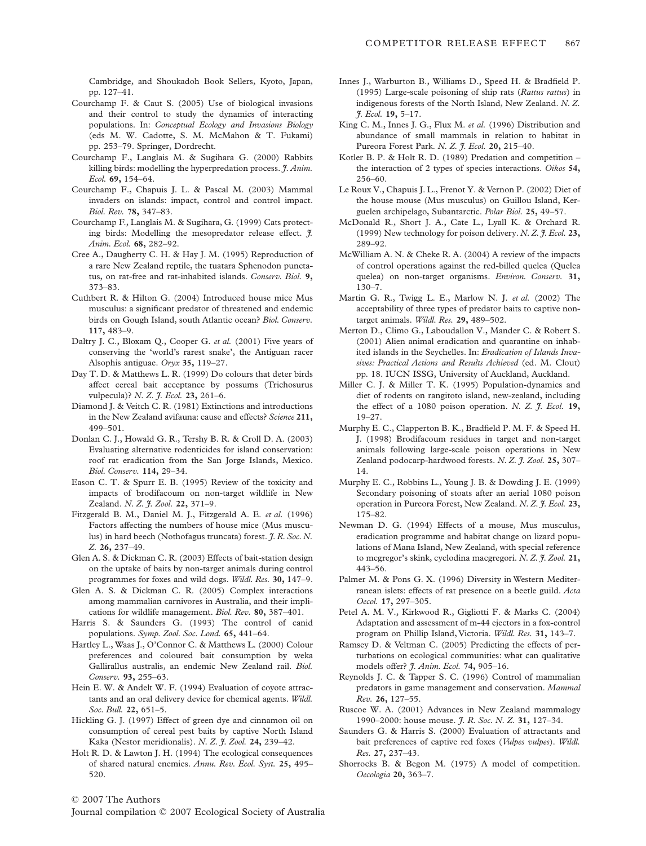Cambridge, and Shoukadoh Book Sellers, Kyoto, Japan, pp. 127–41.

- Courchamp F. & Caut S. (2005) Use of biological invasions and their control to study the dynamics of interacting populations. In: *Conceptual Ecology and Invasions Biology* (eds M. W. Cadotte, S. M. McMahon & T. Fukami) pp. 253–79. Springer, Dordrecht.
- Courchamp F., Langlais M. & Sugihara G. (2000) Rabbits killing birds: modelling the hyperpredation process. *J. Anim. Ecol.* **69,** 154–64.
- Courchamp F., Chapuis J. L. & Pascal M. (2003) Mammal invaders on islands: impact, control and control impact. *Biol. Rev.* **78,** 347–83.
- Courchamp F., Langlais M. & Sugihara, G. (1999) Cats protecting birds: Modelling the mesopredator release effect. *J. Anim. Ecol.* **68,** 282–92.
- Cree A., Daugherty C. H. & Hay J. M. (1995) Reproduction of a rare New Zealand reptile, the tuatara Sphenodon punctatus, on rat-free and rat-inhabited islands. *Conserv. Biol.* **9,** 373–83.
- Cuthbert R. & Hilton G. (2004) Introduced house mice Mus musculus: a significant predator of threatened and endemic birds on Gough Island, south Atlantic ocean? *Biol. Conserv.* **117,** 483–9.
- Daltry J. C., Bloxam Q., Cooper G. *et al.* (2001) Five years of conserving the 'world's rarest snake', the Antiguan racer Alsophis antiguae. *Oryx* **35,** 119–27.
- Day T. D. & Matthews L. R. (1999) Do colours that deter birds affect cereal bait acceptance by possums (Trichosurus vulpecula)? *N. Z. J. Ecol.* **23,** 261–6.
- Diamond J. & Veitch C. R. (1981) Extinctions and introductions in the New Zealand avifauna: cause and effects? *Science* **211,** 499–501.
- Donlan C. J., Howald G. R., Tershy B. R. & Croll D. A. (2003) Evaluating alternative rodenticides for island conservation: roof rat eradication from the San Jorge Islands, Mexico. *Biol. Conserv.* **114,** 29–34.
- Eason C. T. & Spurr E. B. (1995) Review of the toxicity and impacts of brodifacoum on non-target wildlife in New Zealand. *N. Z. J. Zool.* **22,** 371–9.
- Fitzgerald B. M., Daniel M. J., Fitzgerald A. E. *et al.* (1996) Factors affecting the numbers of house mice (Mus musculus) in hard beech (Nothofagus truncata) forest. *J.R. Soc.N. Z.* **26,** 237–49.
- Glen A. S. & Dickman C. R. (2003) Effects of bait-station design on the uptake of baits by non-target animals during control programmes for foxes and wild dogs. *Wildl. Res.* **30,** 147–9.
- Glen A. S. & Dickman C. R. (2005) Complex interactions among mammalian carnivores in Australia, and their implications for wildlife management. *Biol. Rev.* **80,** 387–401.
- Harris S. & Saunders G. (1993) The control of canid populations. *Symp. Zool. Soc. Lond.* **65,** 441–64.
- Hartley L., Waas J., O'Connor C. & Matthews L. (2000) Colour preferences and coloured bait consumption by weka Gallirallus australis, an endemic New Zealand rail. *Biol. Conserv.* **93,** 255–63.
- Hein E. W. & Andelt W. F. (1994) Evaluation of coyote attractants and an oral delivery device for chemical agents. *Wildl. Soc. Bull.* **22,** 651–5.
- Hickling G. J. (1997) Effect of green dye and cinnamon oil on consumption of cereal pest baits by captive North Island Kaka (Nestor meridionalis). *N. Z. J. Zool.* **24,** 239–42.
- Holt R. D. & Lawton J. H. (1994) The ecological consequences of shared natural enemies. *Annu. Rev. Ecol. Syst.* **25,** 495– 520.
- Innes J., Warburton B., Williams D., Speed H. & Bradfield P. (1995) Large-scale poisoning of ship rats (*Rattus rattus*) in indigenous forests of the North Island, New Zealand. *N. Z. J. Ecol.* **19,** 5–17.
- King C. M., Innes J. G., Flux M. *et al.* (1996) Distribution and abundance of small mammals in relation to habitat in Pureora Forest Park. *N. Z. J. Ecol.* **20,** 215–40.
- Kotler B. P. & Holt R. D. (1989) Predation and competition the interaction of 2 types of species interactions. *Oikos* **54,** 256–60.
- Le Roux V., Chapuis J. L., Frenot Y. & Vernon P. (2002) Diet of the house mouse (Mus musculus) on Guillou Island, Kerguelen archipelago, Subantarctic. *Polar Biol.* **25,** 49–57.
- McDonald R., Short J. A., Cate L., Lyall K. & Orchard R. (1999) New technology for poison delivery. *N. Z. J. Ecol.* **23,** 289–92.
- McWilliam A. N. & Cheke R. A. (2004) A review of the impacts of control operations against the red-billed quelea (Quelea quelea) on non-target organisms. *Environ. Conserv.* **31,** 130–7.
- Martin G. R., Twigg L. E., Marlow N. J. *et al.* (2002) The acceptability of three types of predator baits to captive nontarget animals. *Wildl. Res.* **29,** 489–502.
- Merton D., Climo G., Laboudallon V., Mander C. & Robert S. (2001) Alien animal eradication and quarantine on inhabited islands in the Seychelles. In: *Eradication of Islands Invasives: Practical Actions and Results Achieved* (ed. M. Clout) pp. 18. IUCN ISSG, University of Auckland, Auckland.
- Miller C. J. & Miller T. K. (1995) Population-dynamics and diet of rodents on rangitoto island, new-zealand, including the effect of a 1080 poison operation. *N. Z. J. Ecol.* **19,** 19–27.
- Murphy E. C., Clapperton B. K., Bradfield P. M. F. & Speed H. J. (1998) Brodifacoum residues in target and non-target animals following large-scale poison operations in New Zealand podocarp-hardwood forests. *N. Z. J. Zool.* **25,** 307– 14.
- Murphy E. C., Robbins L., Young J. B. & Dowding J. E. (1999) Secondary poisoning of stoats after an aerial 1080 poison operation in Pureora Forest, New Zealand. *N. Z. J. Ecol.* **23,** 175–82.
- Newman D. G. (1994) Effects of a mouse, Mus musculus, eradication programme and habitat change on lizard populations of Mana Island, New Zealand, with special reference to mcgregor's skink, cyclodina macgregori. *N. Z. J. Zool.* **21,** 443–56.
- Palmer M. & Pons G. X. (1996) Diversity in Western Mediterranean islets: effects of rat presence on a beetle guild. *Acta Oecol.* **17,** 297–305.
- Petel A. M. V., Kirkwood R., Gigliotti F. & Marks C. (2004) Adaptation and assessment of m-44 ejectors in a fox-control program on Phillip Island, Victoria. *Wildl. Res.* **31,** 143–7.
- Ramsey D. & Veltman C. (2005) Predicting the effects of perturbations on ecological communities: what can qualitative models offer? *J. Anim. Ecol.* **74,** 905–16.
- Reynolds J. C. & Tapper S. C. (1996) Control of mammalian predators in game management and conservation. *Mammal Rev.* **26,** 127–55.
- Ruscoe W. A. (2001) Advances in New Zealand mammalogy 1990–2000: house mouse. *J. R. Soc. N. Z.* **31,** 127–34.
- Saunders G. & Harris S. (2000) Evaluation of attractants and bait preferences of captive red foxes (*Vulpes vulpes*). *Wildl. Res.* **27,** 237–43.
- Shorrocks B. & Begon M. (1975) A model of competition. *Oecologia* **20,** 363–7.

© 2007 The Authors

Journal compilation © 2007 Ecological Society of Australia